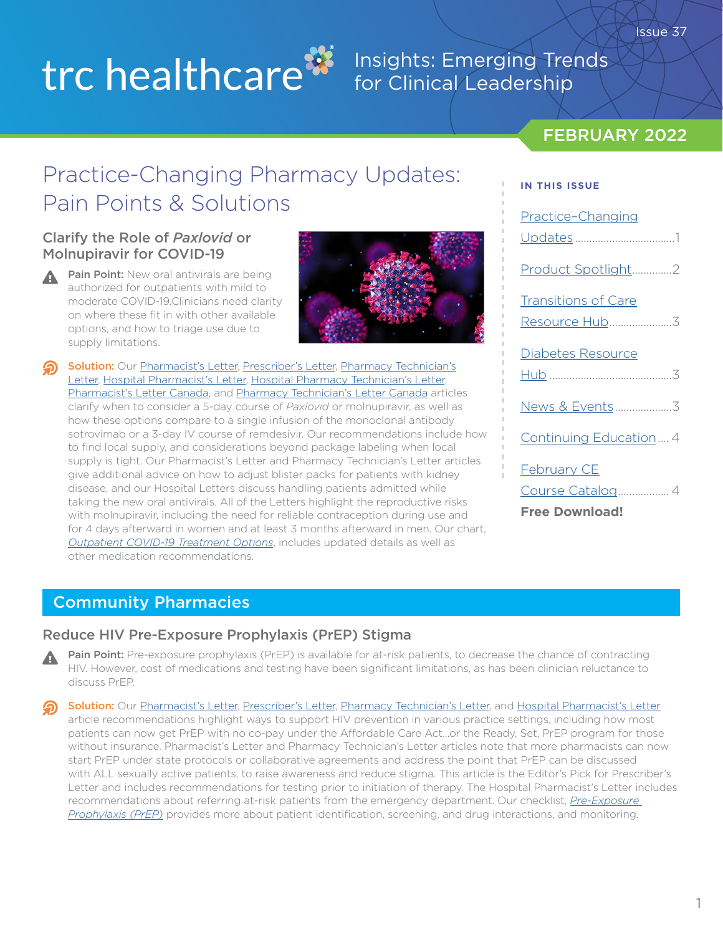# trc healthcare<sup>33</sup>

### Insights: Emerging Trends for Clinical Leadership

### FEBRUARY 2022

**IN THIS ISSUE**

Practice–Changing

# Practice-Changing Pharmacy Updates: Pain Points & Solutions

#### Clarify the Role of *Paxlovid* or Molnupiravir for COVID-19

Pain Point: New oral antivirals are being authorized for outpatients with mild to moderate COVID-19.Clinicians need clarity on where these fit in with other available options, and how to triage use due to supply limitations.



Solution: Our [Pharmacist's Letter](https://pharmacist.therapeuticresearch.com/Content/Articles/PL/2022/Feb/Clarify-the-Role-of-Paxlovid-or-Molnupiravir-for-COVID-19?utm_campaign=february_2022_insights_newsletter&utm_medium=email&utm_source=hubspot), [Prescriber's Letter](https://prescriber.therapeuticresearch.com/Content/Articles/PRL/2022/Feb/Clarify-the-Role-of-Paxlovid-or-Molnupiravir-for-COVID-19?utm_campaign=february_2022_insights_newsletter&utm_medium=email&utm_source=hubspot), [Pharmacy Technician's](https://pharmacytech.therapeuticresearch.com/Content/Articles/PTL/2022/Feb/Be-Ready-to-Dispense-Paxlovid-or-Molnupiravir-for-COVID-19?utm_campaign=february_2022_insights_newsletter&utm_medium=email&utm_source=hubspot) [Letter,](https://pharmacytech.therapeuticresearch.com/Content/Articles/PTL/2022/Feb/Be-Ready-to-Dispense-Paxlovid-or-Molnupiravir-for-COVID-19?utm_campaign=february_2022_insights_newsletter&utm_medium=email&utm_source=hubspot) [Hospital Pharmacist's Letter](https://hospital-pharmacist.therapeuticresearch.com/Content/Articles/PLH/2022/Feb/Know-the-Latest-About-COVID-19-MAbs-and-Remdesivir?utm_campaign=february_2022_insights_newsletter&utm_medium=email&utm_source=hubspot), [Hospital Pharmacy Technician's Letter,](https://hospital-pharmacytech.therapeuticresearch.com/Content/Articles/PTLH/2022/Feb/Know-How-COVID-19-Oral-Antivirals-Compare?utm_campaign=february_2022_insights_newsletter&utm_medium=email&utm_source=hubspot) [Pharmacist's Letter Canada,](https://ca-pharmacist.therapeuticresearch.com/en/Content/Articles/PLC/2022/Feb/Clarify-the-Role-of-Paxlovid-or-Molnupiravir-for-COVID-19?utm_campaign=february_2022_insights_newsletter&utm_medium=email&utm_source=hubspot) and [Pharmacy Technician's Letter Canada](https://ca-pharmacytech.therapeuticresearch.com/Content/Articles/PTLC/2022/Feb/Expect-Questions-About-Paxlovid-or-Molnupiravir-for-COVID-19?utm_campaign=february_2022_insights_newsletter&utm_medium=email&utm_source=hubspot) articles clarify when to consider a 5-day course of *Paxlovid* or molnupiravir, as well as how these options compare to a single infusion of the monoclonal antibody sotrovimab or a 3-day IV course of remdesivir. Our recommendations include how to find local supply, and considerations beyond package labeling when local supply is tight. Our Pharmacist's Letter and Pharmacy Technician's Letter articles give additional advice on how to adjust blister packs for patients with kidney disease, and our Hospital Letters discuss handling patients admitted while taking the new oral antivirals. All of the Letters highlight the reproductive risks with molnupiravir, including the need for reliable contraception during use and for 4 days afterward in women and at least 3 months afterward in men. Our chart, *[Outpatient COVID-19 Treatment Options](https://pharmacist.therapeuticresearch.com/Content/Segments/PRL/2022/Feb/Outpatient-COVID-19-Treatment-Options-S2202001?utm_campaign=february_2022_insights_newsletter&utm_medium=email&utm_source=hubspot)*, includes updated details as well as other medication recommendations.

# Updates ...................................1 [Product Spotlight..............2](#page-1-0) Transitions of Care [Resource Hub......................3](#page-2-0) Diabetes Resource Hub [...........................................3](#page-2-0) [News & Events....................3](#page-2-0) [Continuing Education....4](#page-3-0) February CE [Course Catalog..................4](#page-3-0)

#### **[Free Download!](https://trchealthcare.com/wp-content/uploads/2022/02/Feb-2022-CE-Catalog.pdf)**

### Community Pharmacies

#### Reduce HIV Pre-Exposure Prophylaxis (PrEP) Stigma

Pain Point: Pre-exposure prophylaxis (PrEP) is available for at-risk patients, to decrease the chance of contracting HIV. However, cost of medications and testing have been significant limitations, as has been clinician reluctance to discuss PrEP.

Solution: Our [Pharmacist's Letter](https://pharmacist.therapeuticresearch.com/Content/Articles/PL/2022/Feb/Reduce-HIV-Pre-Exposure-Prophylaxis-PrEP-Stigma?utm_campaign=february_2022_insights_newsletter&utm_medium=email&utm_source=hubspot), [Prescriber's Letter](https://prescriber.therapeuticresearch.com/Content/Articles/PRL/2022/Feb/Reduce-HIV-Pre-Exposure-Prophylaxis-PrEP-Stigma?utm_campaign=february_2022_insights_newsletter&utm_medium=email&utm_source=hubspot), [Pharmacy Technician's Letter](https://pharmacytech.therapeuticresearch.com/Content/Articles/PTL/2022/Feb/Prepare-to-Handle-More-PrEP-Rxs-for-HIV-Prevention?utm_campaign=february_2022_insights_newsletter&utm_medium=email&utm_source=hubspot), and [Hospital Pharmacist's Letter](https://hospital-pharmacist.therapeuticresearch.com/Content/Articles/PLH/2022/Feb/Promote-HIV-Pre-Exposure-Prophylaxis-PrEP?utm_campaign=february_2022_insights_newsletter&utm_medium=email&utm_source=hubspot) article recommendations highlight ways to support HIV prevention in various practice settings, including how most patients can now get PrEP with no co-pay under the Affordable Care Act...or the Ready, Set, PrEP program for those without insurance. Pharmacist's Letter and Pharmacy Technician's Letter articles note that more pharmacists can now start PrEP under state protocols or collaborative agreements and address the point that PrEP can be discussed with ALL sexually active patients, to raise awareness and reduce stigma. This article is the Editor's Pick for Prescriber's Letter and includes recommendations for testing prior to initiation of therapy. The Hospital Pharmacist's Letter includes recommendations about referring at-risk patients from the emergency department. Our checklist, *[Pre-Exposure](https://pharmacist.therapeuticresearch.com/Content/Segments/PRL/2018/May/Pre-Exposure-Prophylaxis-PrEP-12210?utm_campaign=february_2022_insights_newsletter&utm_medium=email&utm_source=hubspot)  [Prophylaxis \(PrEP\)](https://pharmacist.therapeuticresearch.com/Content/Segments/PRL/2018/May/Pre-Exposure-Prophylaxis-PrEP-12210?utm_campaign=february_2022_insights_newsletter&utm_medium=email&utm_source=hubspot)* provides more about patient identification, screening, and drug interactions, and monitoring.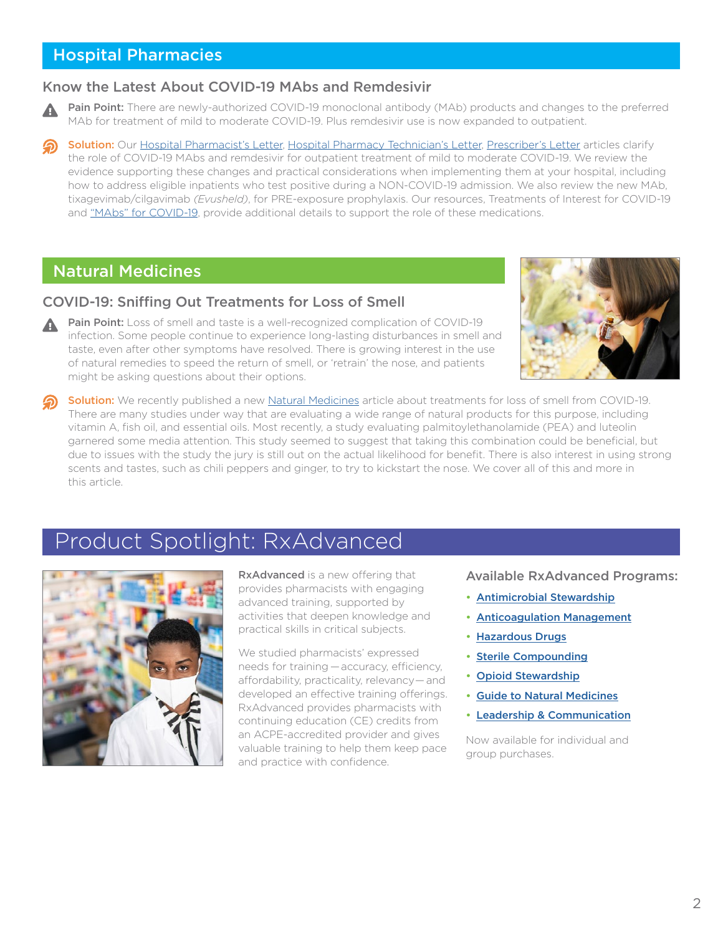### <span id="page-1-0"></span>Hospital Pharmacies

#### Know the Latest About COVID-19 MAbs and Remdesivir

- Pain Point: There are newly-authorized COVID-19 monoclonal antibody (MAb) products and changes to the preferred MAb for treatment of mild to moderate COVID-19. Plus remdesivir use is now expanded to outpatient.
- Solution: Our [Hospital Pharmacist's Letter](https://hospital-pharmacist.therapeuticresearch.com/Content/Articles/PLH/2022/Feb/Know-the-Latest-About-COVID-19-MAbs-and-Remdesivir?utm_campaign=february_2022_insights_newsletter&utm_medium=email&utm_source=hubspot), [Hospital Pharmacy Technician's Letter,](https://hospital-pharmacytech.therapeuticresearch.com/en/Content/Articles/PTLH/2022/Feb/Stay-on-Top-of-Changes-to-COVID-19-Management?utm_campaign=february_2022_insights_newsletter&utm_medium=email&utm_source=hubspot) [Prescriber's Letter](https://prescriber.therapeuticresearch.com/Content/Articles/PRL/2022/Feb/Know-the-Latest-About-COVID-19-MAbs-and-Remdesivir?utm_campaign=february_2022_insights_newsletter&utm_medium=email&utm_source=hubspot) articles clarify the role of COVID-19 MAbs and remdesivir for outpatient treatment of mild to moderate COVID-19. We review the evidence supporting these changes and practical considerations when implementing them at your hospital, including how to address eligible inpatients who test positive during a NON-COVID-19 admission. We also review the new MAb, tixagevimab/cilgavimab *(Evusheld)*, for PRE-exposure prophylaxis. Our resources, Treatments of Interest for COVID-19 and ["MAbs" for COVID-19,](https://pharmacist.therapeuticresearch.com/Content/Segments/PRL/2021/Apr/Mabs-for-COVID-19-Patient-Assessment-S2104001?utm_campaign=february_2022_insights_newsletter&utm_medium=email&utm_source=hubspot) provide additional details to support the role of these medications.

### Natural Medicines

#### COVID-19: Sniffing Out Treatments for Loss of Smell

Pain Point: Loss of smell and taste is a well-recognized complication of COVID-19 infection. Some people continue to experience long-lasting disturbances in smell and taste, even after other symptoms have resolved. There is growing interest in the use of natural remedies to speed the return of smell, or 'retrain' the nose, and patients might be asking questions about their options.



Solution: We recently published a new [Natural Medicines](https://naturalmedicines.therapeuticresearch.com/news/news-items/starnatural-medicines-and-covid-19star/covid-19-sniffing-out-treatments-for-loss-of-smell.aspx?utm_campaign=february_2022_insights_newsletter&utm_medium=email&utm_source=hubspot) article about treatments for loss of smell from COVID-19. There are many studies under way that are evaluating a wide range of natural products for this purpose, including vitamin A, fish oil, and essential oils. Most recently, a study evaluating palmitoylethanolamide (PEA) and luteolin garnered some media attention. This study seemed to suggest that taking this combination could be beneficial, but due to issues with the study the jury is still out on the actual likelihood for benefit. There is also interest in using strong scents and tastes, such as chili peppers and ginger, to try to kickstart the nose. We cover all of this and more in this article.

### Product Spotlight: RxAdvanced



**RxAdvanced** is a new offering that provides pharmacists with engaging advanced training, supported by activities that deepen knowledge and practical skills in critical subjects.

We studied pharmacists' expressed needs for training — accuracy, efficiency, affordability, practicality, relevancy — and developed an effective training offerings. RxAdvanced provides pharmacists with continuing education (CE) credits from an ACPE-accredited provider and gives valuable training to help them keep pace and practice with confidence.

Available RxAdvanced Programs:

- [Antimicrobial Stewardship](https://trchealthcare.com/about-us/products/rxadvanced/antimicrobial-stewardship/?utm_campaign=february_2022_insights_newsletter&utm_medium=email&utm_source=hubspot)
- [Anticoagulation Management](https://trchealthcare.com/about-us/products/rxadvanced/anticoagulation-management/?utm_campaign=february_2022_insights_newsletter&utm_medium=email&utm_source=hubspot)
- [Hazardous Drugs](https://trchealthcare.com/about-us/products/rxadvanced/hazardous-drugs/?utm_campaign=february_2022_insights_newsletter&utm_medium=email&utm_source=hubspot)
- [Sterile Compounding](https://trchealthcare.com/about-us/products/rxadvanced/sterile-compounding/?utm_campaign=february_2022_insights_newsletter&utm_medium=email&utm_source=hubspot)
- [Opioid Stewardship](https://trchealthcare.com/about-us/products/rxadvanced/opioid-stewardship/?utm_campaign=february_2022_insights_newsletter&utm_medium=email&utm_source=hubspot)
- [Guide to Natural Medicines](https://trchealthcare.com/about-us/products/rxadvanced/guide-to-natural-medicines/?utm_campaign=february_2022_insights_newsletter&utm_medium=email&utm_source=hubspot)
- [Leadership & Communication](https://trchealthcare.com/about-us/products/rxadvanced/leadership-and-communication/?utm_campaign=february_2022_insights_newsletter&utm_medium=email&utm_source=hubspot)

Now available for individual and group purchases.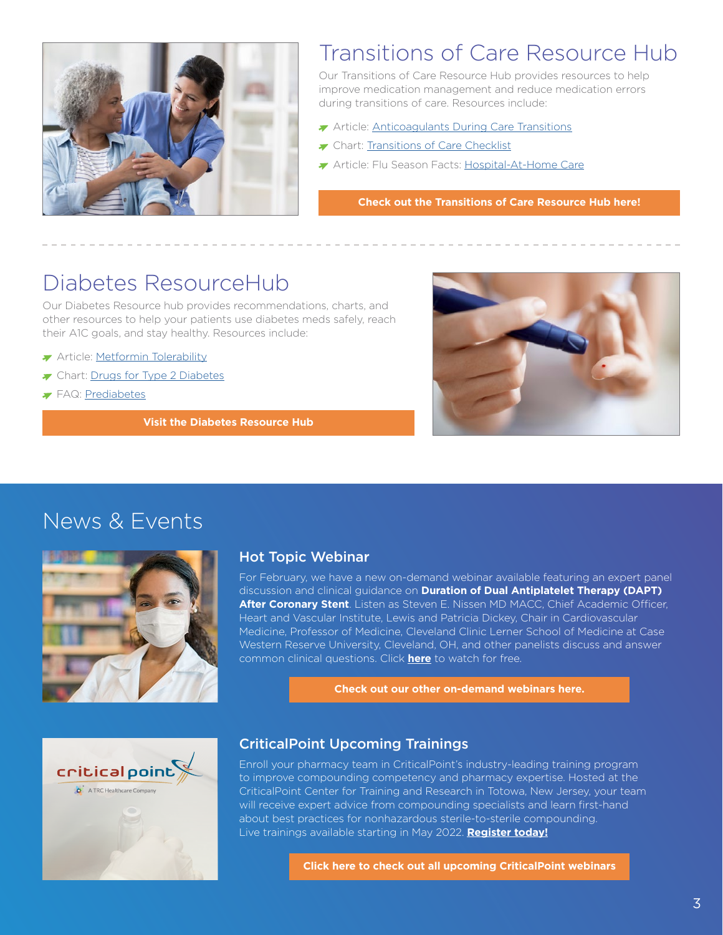<span id="page-2-0"></span>

# Transitions of Care Resource Hub

Our Transitions of Care Resource Hub provides resources to help improve medication management and reduce medication errors during transitions of care. Resources include:

- Article: [Anticoagulants During Care Transitions](https://pharmacist.therapeuticresearch.com/en/Content/Articles/PLH/2021/Dec/Safeguard-Patients-on-Anticoagulants-During-Care-Transitions?utm_campaign=february_2022_insights_newsletter&utm_medium=email&utm_source=hubspot)
- [Transitions of Care Checklist](https://pharmacist.therapeuticresearch.com/en/Content/Segments/PRL/2013/Jul/Transitions-of-Care-Checklist-5785?utm_campaign=february_2022_insights_newsletter&utm_medium=email&utm_source=hubspot)
- Article: Flu Season Facts: [Hospital-At-Home Care](https://pharmacist.therapeuticresearch.com/en/Content/Articles/PLH/2021/Nov/Consider-How-to-Support-Hospital-at-Home-Care?utm_campaign=february_2022_insights_newsletter&utm_medium=email&utm_source=hubspot)

**[Check out the Transitions of Care Resource Hub here!](https://pharmacist.therapeuticresearch.com/en/Content/Resource-Hub/All/Transitions-of-Care-Resource-Hub?utm_campaign=february_2022_insights_newsletter&utm_medium=email&utm_source=hubspot)**

### Diabetes ResourceHub

Our Diabetes Resource hub provides recommendations, charts, and other resources to help your patients use diabetes meds safely, reach their A1C goals, and stay healthy. Resources include:

- **Article: [Metformin Tolerability](https://pharmacist.therapeuticresearch.com/Content/Articles/PL/2022/Feb/Help-Patients-Succeed-With-Metformin?utm_campaign=february_2022_insights_newsletter&utm_medium=email&utm_source=hubspot)**
- The Chart: [Drugs for Type 2 Diabetes](https://pharmacist.therapeuticresearch.com/Content/Segments/PRL/2015/Jun/Drugs-for-Type-2-Diabetes-8509?utm_campaign=february_2022_insights_newsletter&utm_medium=email&utm_source=hubspot)
- FAQ: [Prediabetes](https://pharmacist.therapeuticresearch.com/Content/Segments/PRL/2015/Aug/Prediabetes-FAQs-8723?utm_campaign=february_2022_insights_newsletter&utm_medium=email&utm_source=hubspot)

**[Visit the Diabetes Resource Hub](https://pharmacist.therapeuticresearch.com/en/Content/Resource-Hub/All/Diabetes-Resource-Hub?utm_campaign=february_2022_insights_newsletter&utm_medium=email&utm_source=hubspot)** 



### News & Events



#### Hot Topic Webinar

For February, we have a new on-demand webinar available featuring an expert panel discussion and clinical guidance on **Duration of Dual Antiplatelet Therapy (DAPT) After Coronary Stent**. Listen as Steven E. Nissen MD MACC, Chief Academic Officer, Heart and Vascular Institute, Lewis and Patricia Dickey, Chair in Cardiovascular Medicine, Professor of Medicine, Cleveland Clinic Lerner School of Medicine at Case Western Reserve University, Cleveland, OH, and other panelists discuss and answer common clinical questions. Click **[here](https://trchealthcare.com/duration-of-dual-antiplatelet-therapy-dapt-after-coronary-stent/?utm_campaign=february_2022_insights_newsletter&utm_medium=email&utm_source=hubspot)** to watch for free.

**[Check out our other on-demand webinars here.](https://trchealthcare.com/about-us/news-and-resources/webinars/?utm_campaign=february_2022_insights_newsletter&utm_medium=email&utm_source=hubspot)**



#### CriticalPoint Upcoming Trainings

Enroll your pharmacy team in CriticalPoint's industry-leading training program to improve compounding competency and pharmacy expertise. Hosted at the CriticalPoint Center for Training and Research in Totowa, New Jersey, your team will receive expert advice from compounding specialists and learn first-hand about best practices for nonhazardous sterile-to-sterile compounding. Live trainings available starting in May 2022. **[Register today!](https://www.criticalpoint.info/activity/best-practices-for-nonhazardous-sterile-to-sterile-compounding-may-16-18-2022/?utm_campaign=february_2022_insights_newsletter&utm_medium=email&utm_source=hubspot)**

**[Click here to check out all upcoming CriticalPoint webinars](https://www.criticalpoint.info/activities/?utm_campaign=february_2022_insights_newsletter&utm_medium=email&utm_source=hubspot)**